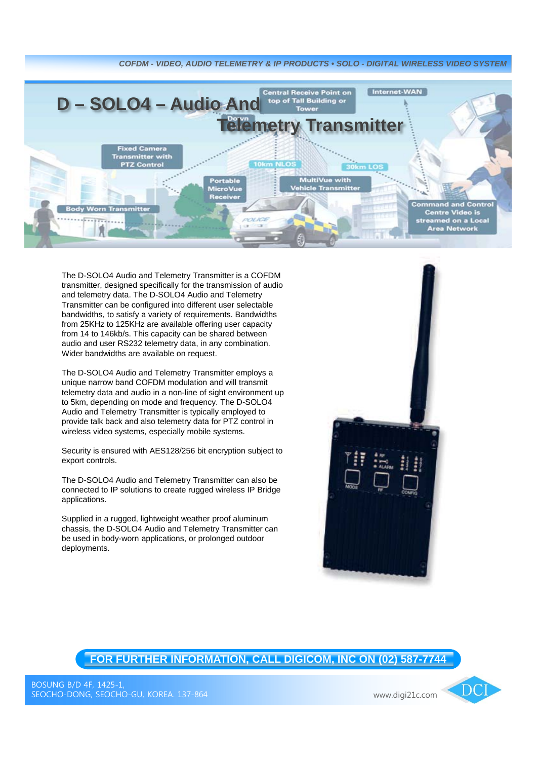

The D-SOLO4 Audio and Telemetry Transmitter is a COFDM transmitter, designed specifically for the transmission of audio and telemetry data. The D-SOLO4 Audio and Telemetry Transmitter can be configured into different user selectable bandwidths, to satisfy a variety of requirements. Bandwidths from 25KHz to 125KHz are available offering user capacity from 14 to 146kb/s. This capacity can be shared between audio and user RS232 telemetry data, in any combination. Wider bandwidths are available on request.

The D-SOLO4 Audio and Telemetry Transmitter employs a unique narrow band COFDM modulation and will transmit telemetry data and audio in a non-line of sight environment up to 5km, depending on mode and frequency. The D-SOLO4 Audio and Telemetry Transmitter is typically employed to provide talk back and also telemetry data for PTZ control in wireless video systems, especially mobile systems.

Security is ensured with AES128/256 bit encryption subject to export controls.

The D-SOLO4 Audio and Telemetry Transmitter can also be connected to IP solutions to create rugged wireless IP Bridge applications.

Supplied in a rugged, lightweight weather proof aluminum chassis, the D-SOLO4 Audio and Telemetry Transmitter can be used in body-worn applications, or prolonged outdoor deployments.



## **FOR FURTHER INFORMATION, CALL DIGICOM, INC ON (02) 587-7744**

 $\overline{DC}$